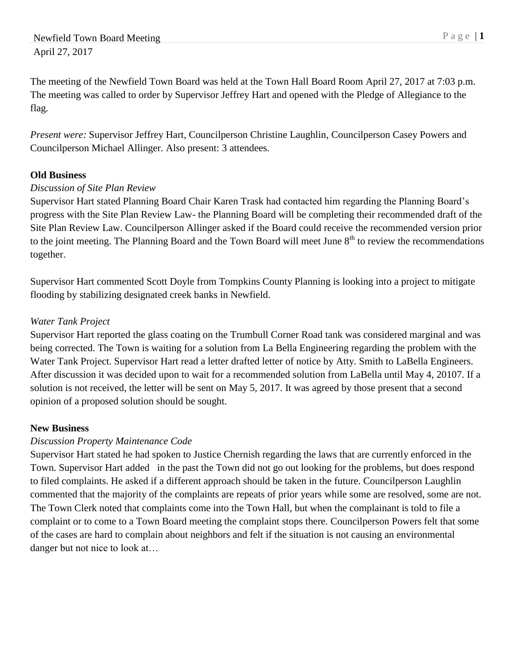The meeting of the Newfield Town Board was held at the Town Hall Board Room April 27, 2017 at 7:03 p.m. The meeting was called to order by Supervisor Jeffrey Hart and opened with the Pledge of Allegiance to the flag.

*Present were:* Supervisor Jeffrey Hart, Councilperson Christine Laughlin, Councilperson Casey Powers and Councilperson Michael Allinger. Also present: 3 attendees.

# **Old Business**

## *Discussion of Site Plan Review*

Supervisor Hart stated Planning Board Chair Karen Trask had contacted him regarding the Planning Board's progress with the Site Plan Review Law- the Planning Board will be completing their recommended draft of the Site Plan Review Law. Councilperson Allinger asked if the Board could receive the recommended version prior to the joint meeting. The Planning Board and the Town Board will meet June  $8<sup>th</sup>$  to review the recommendations together.

Supervisor Hart commented Scott Doyle from Tompkins County Planning is looking into a project to mitigate flooding by stabilizing designated creek banks in Newfield.

## *Water Tank Project*

Supervisor Hart reported the glass coating on the Trumbull Corner Road tank was considered marginal and was being corrected. The Town is waiting for a solution from La Bella Engineering regarding the problem with the Water Tank Project. Supervisor Hart read a letter drafted letter of notice by Atty. Smith to LaBella Engineers. After discussion it was decided upon to wait for a recommended solution from LaBella until May 4, 20107. If a solution is not received, the letter will be sent on May 5, 2017. It was agreed by those present that a second opinion of a proposed solution should be sought.

### **New Business**

# *Discussion Property Maintenance Code*

Supervisor Hart stated he had spoken to Justice Chernish regarding the laws that are currently enforced in the Town. Supervisor Hart added in the past the Town did not go out looking for the problems, but does respond to filed complaints. He asked if a different approach should be taken in the future. Councilperson Laughlin commented that the majority of the complaints are repeats of prior years while some are resolved, some are not. The Town Clerk noted that complaints come into the Town Hall, but when the complainant is told to file a complaint or to come to a Town Board meeting the complaint stops there. Councilperson Powers felt that some of the cases are hard to complain about neighbors and felt if the situation is not causing an environmental danger but not nice to look at…